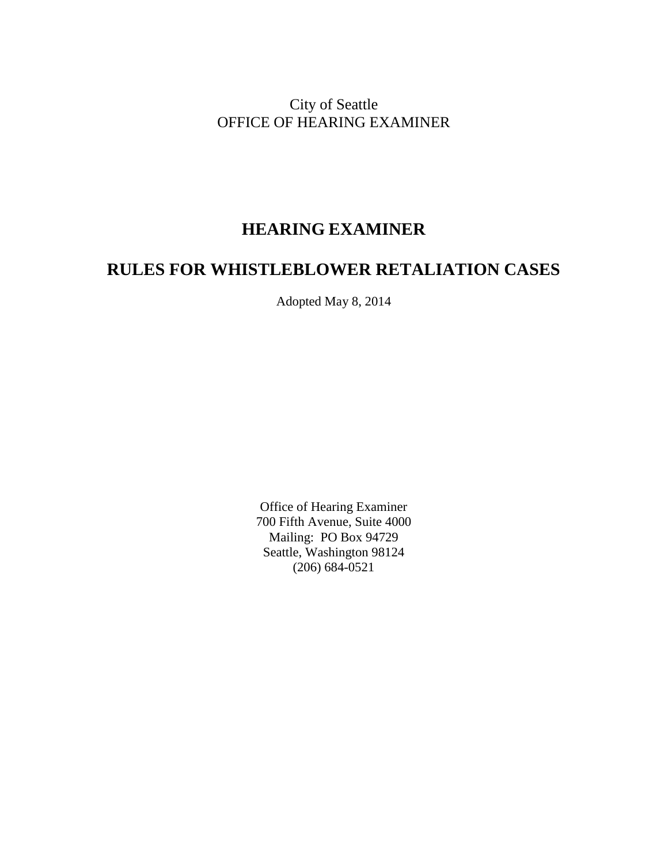City of Seattle OFFICE OF HEARING EXAMINER

# **HEARING EXAMINER**

# **RULES FOR WHISTLEBLOWER RETALIATION CASES**

Adopted May 8, 2014

Office of Hearing Examiner 700 Fifth Avenue, Suite 4000 Mailing: PO Box 94729 Seattle, Washington 98124 (206) 684-0521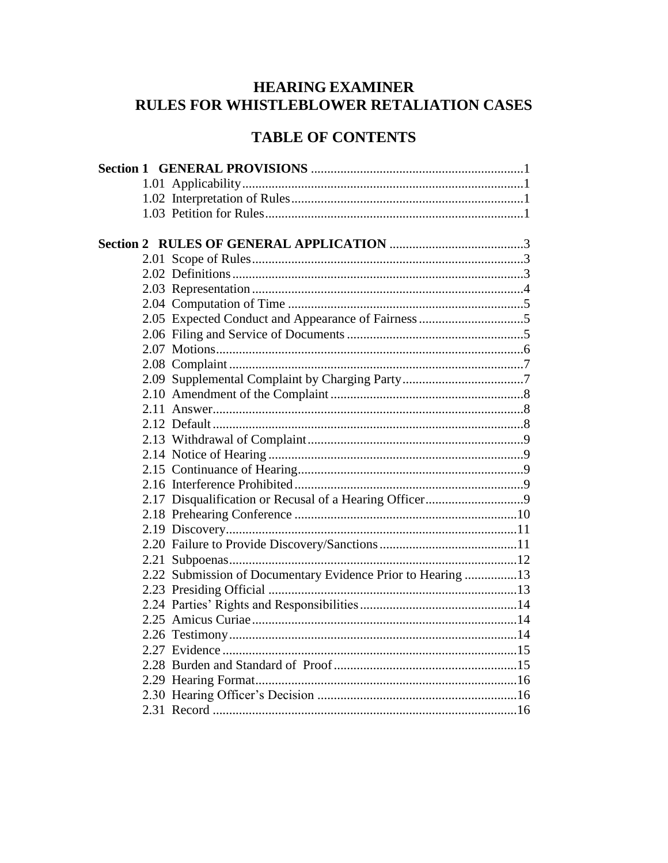# **HEARING EXAMINER** RULES FOR WHISTLEBLOWER RETALIATION CASES

# **TABLE OF CONTENTS**

|  | 2.22 Submission of Documentary Evidence Prior to Hearing 13 |  |
|--|-------------------------------------------------------------|--|
|  |                                                             |  |
|  |                                                             |  |
|  |                                                             |  |
|  |                                                             |  |
|  |                                                             |  |
|  |                                                             |  |
|  |                                                             |  |
|  |                                                             |  |
|  |                                                             |  |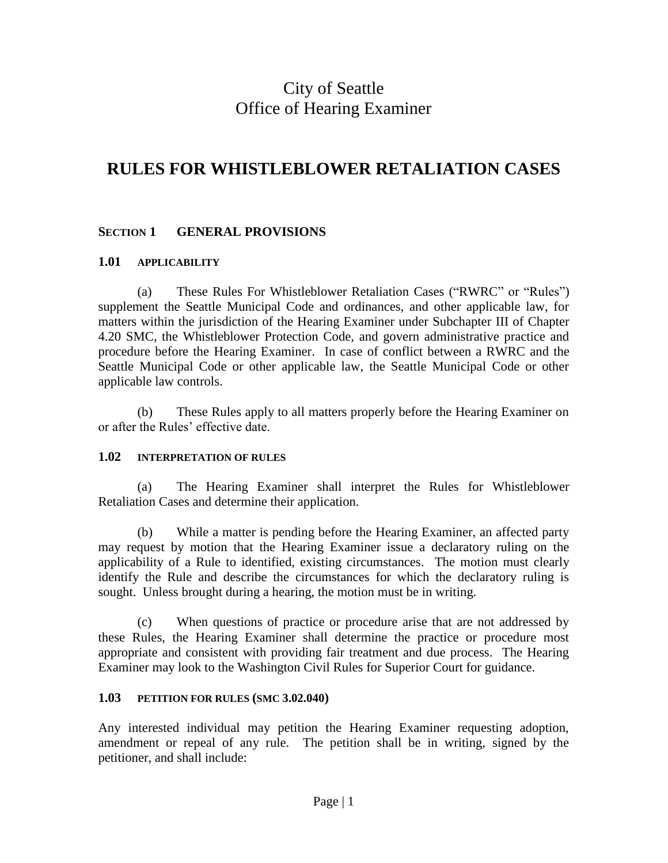# City of Seattle Office of Hearing Examiner

# **RULES FOR WHISTLEBLOWER RETALIATION CASES**

## **SECTION 1 GENERAL PROVISIONS**

#### **1.01 APPLICABILITY**

(a) These Rules For Whistleblower Retaliation Cases ("RWRC" or "Rules") supplement the Seattle Municipal Code and ordinances, and other applicable law, for matters within the jurisdiction of the Hearing Examiner under Subchapter III of Chapter 4.20 SMC, the Whistleblower Protection Code, and govern administrative practice and procedure before the Hearing Examiner. In case of conflict between a RWRC and the Seattle Municipal Code or other applicable law, the Seattle Municipal Code or other applicable law controls.

(b) These Rules apply to all matters properly before the Hearing Examiner on or after the Rules' effective date.

## **1.02 INTERPRETATION OF RULES**

(a) The Hearing Examiner shall interpret the Rules for Whistleblower Retaliation Cases and determine their application.

(b) While a matter is pending before the Hearing Examiner, an affected party may request by motion that the Hearing Examiner issue a declaratory ruling on the applicability of a Rule to identified, existing circumstances. The motion must clearly identify the Rule and describe the circumstances for which the declaratory ruling is sought. Unless brought during a hearing, the motion must be in writing.

(c) When questions of practice or procedure arise that are not addressed by these Rules, the Hearing Examiner shall determine the practice or procedure most appropriate and consistent with providing fair treatment and due process. The Hearing Examiner may look to the Washington Civil Rules for Superior Court for guidance.

## **1.03 PETITION FOR RULES (SMC 3.02.040)**

Any interested individual may petition the Hearing Examiner requesting adoption, amendment or repeal of any rule. The petition shall be in writing, signed by the petitioner, and shall include: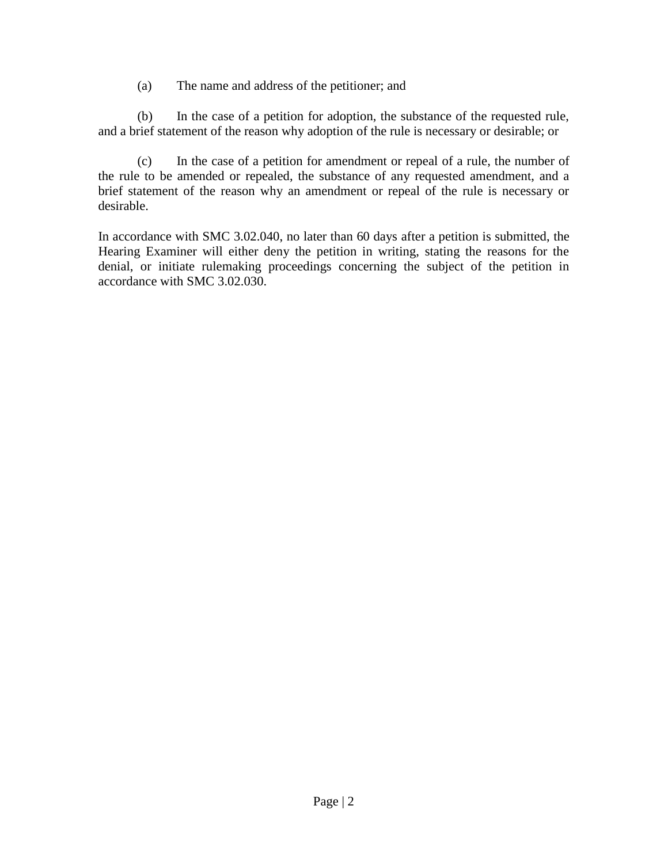(a) The name and address of the petitioner; and

(b) In the case of a petition for adoption, the substance of the requested rule, and a brief statement of the reason why adoption of the rule is necessary or desirable; or

(c) In the case of a petition for amendment or repeal of a rule, the number of the rule to be amended or repealed, the substance of any requested amendment, and a brief statement of the reason why an amendment or repeal of the rule is necessary or desirable.

In accordance with SMC 3.02.040, no later than 60 days after a petition is submitted, the Hearing Examiner will either deny the petition in writing, stating the reasons for the denial, or initiate rulemaking proceedings concerning the subject of the petition in accordance with SMC 3.02.030.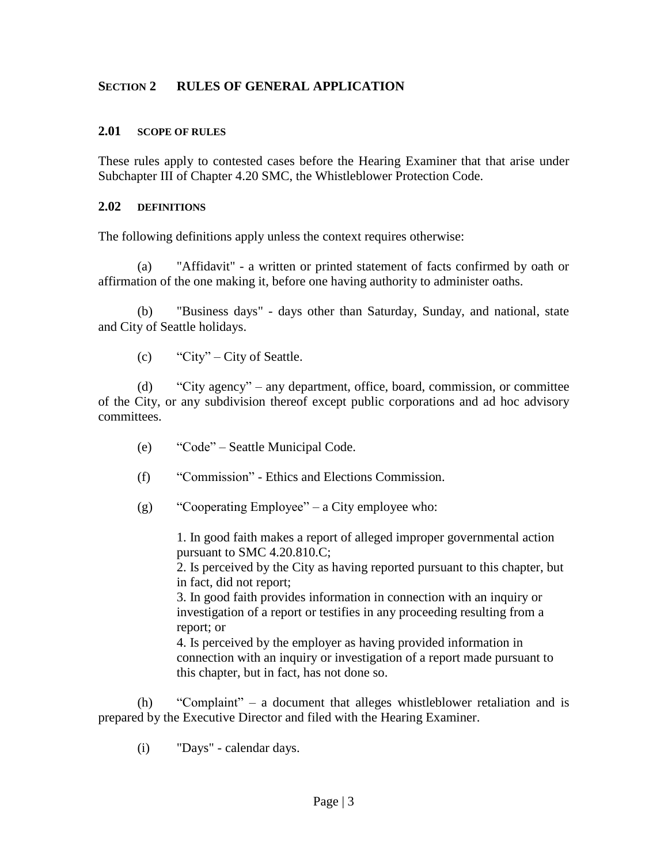## **SECTION 2 RULES OF GENERAL APPLICATION**

#### **2.01 SCOPE OF RULES**

These rules apply to contested cases before the Hearing Examiner that that arise under Subchapter III of Chapter 4.20 SMC, the Whistleblower Protection Code.

#### **2.02 DEFINITIONS**

The following definitions apply unless the context requires otherwise:

(a) "Affidavit" - a written or printed statement of facts confirmed by oath or affirmation of the one making it, before one having authority to administer oaths.

(b) "Business days" - days other than Saturday, Sunday, and national, state and City of Seattle holidays.

 $\text{c)}$  "City" – City of Seattle.

(d) "City agency" – any department, office, board, commission, or committee of the City, or any subdivision thereof except public corporations and ad hoc advisory committees.

- (e) "Code" Seattle Municipal Code.
- (f) "Commission" Ethics and Elections Commission.
- (g) "Cooperating Employee" a City employee who:

1. In good faith makes a report of alleged improper governmental action pursuant to SMC 4.20.810.C;

2. Is perceived by the City as having reported pursuant to this chapter, but in fact, did not report;

3. In good faith provides information in connection with an inquiry or investigation of a report or testifies in any proceeding resulting from a report; or

4. Is perceived by the employer as having provided information in connection with an inquiry or investigation of a report made pursuant to this chapter, but in fact, has not done so.

(h) "Complaint" – a document that alleges whistleblower retaliation and is prepared by the Executive Director and filed with the Hearing Examiner.

(i) "Days" - calendar days.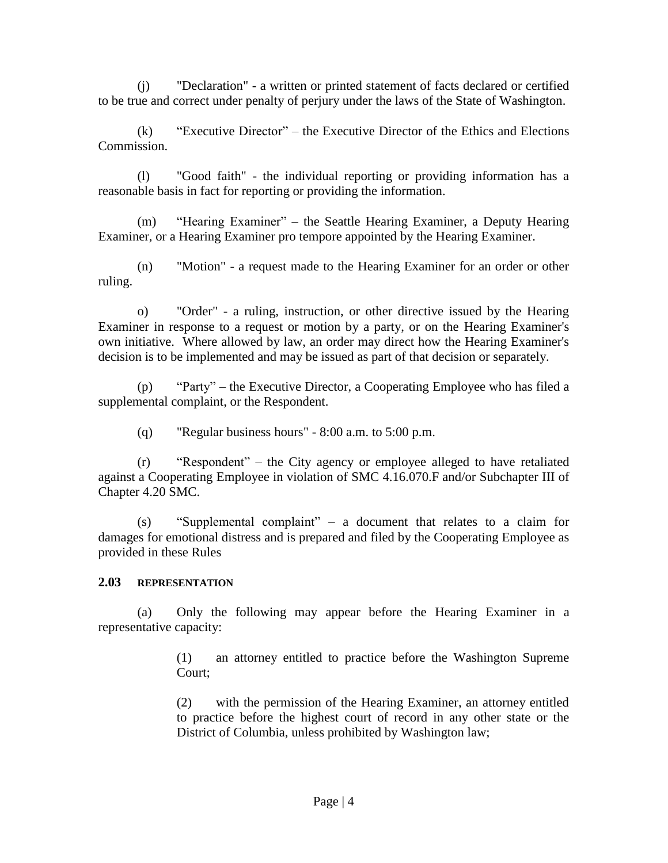(j) "Declaration" - a written or printed statement of facts declared or certified to be true and correct under penalty of perjury under the laws of the State of Washington.

(k) "Executive Director" – the Executive Director of the Ethics and Elections Commission.

(l) "Good faith" - the individual reporting or providing information has a reasonable basis in fact for reporting or providing the information.

(m) "Hearing Examiner" – the Seattle Hearing Examiner, a Deputy Hearing Examiner, or a Hearing Examiner pro tempore appointed by the Hearing Examiner.

(n) "Motion" - a request made to the Hearing Examiner for an order or other ruling.

o) "Order" - a ruling, instruction, or other directive issued by the Hearing Examiner in response to a request or motion by a party, or on the Hearing Examiner's own initiative. Where allowed by law, an order may direct how the Hearing Examiner's decision is to be implemented and may be issued as part of that decision or separately.

(p) "Party" – the Executive Director, a Cooperating Employee who has filed a supplemental complaint, or the Respondent.

(q) "Regular business hours" - 8:00 a.m. to 5:00 p.m.

(r) "Respondent" – the City agency or employee alleged to have retaliated against a Cooperating Employee in violation of SMC 4.16.070.F and/or Subchapter III of Chapter 4.20 SMC.

(s) "Supplemental complaint" – a document that relates to a claim for damages for emotional distress and is prepared and filed by the Cooperating Employee as provided in these Rules

## **2.03 REPRESENTATION**

(a) Only the following may appear before the Hearing Examiner in a representative capacity:

> (1) an attorney entitled to practice before the Washington Supreme Court;

> (2) with the permission of the Hearing Examiner, an attorney entitled to practice before the highest court of record in any other state or the District of Columbia, unless prohibited by Washington law;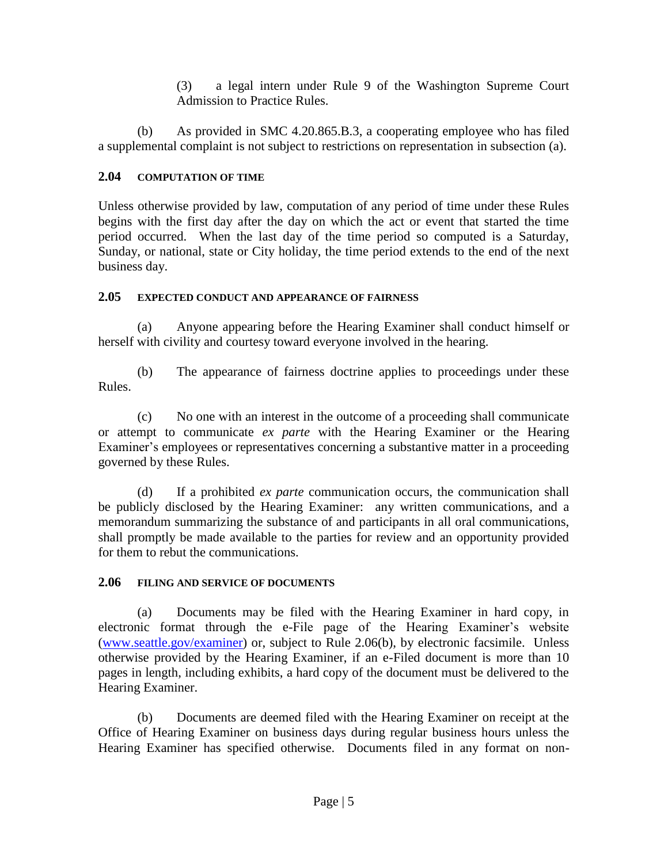(3) a legal intern under Rule 9 of the Washington Supreme Court Admission to Practice Rules.

(b) As provided in SMC 4.20.865.B.3, a cooperating employee who has filed a supplemental complaint is not subject to restrictions on representation in subsection (a).

## **2.04 COMPUTATION OF TIME**

Unless otherwise provided by law, computation of any period of time under these Rules begins with the first day after the day on which the act or event that started the time period occurred. When the last day of the time period so computed is a Saturday, Sunday, or national, state or City holiday, the time period extends to the end of the next business day.

## **2.05 EXPECTED CONDUCT AND APPEARANCE OF FAIRNESS**

(a) Anyone appearing before the Hearing Examiner shall conduct himself or herself with civility and courtesy toward everyone involved in the hearing.

(b) The appearance of fairness doctrine applies to proceedings under these Rules.

(c) No one with an interest in the outcome of a proceeding shall communicate or attempt to communicate *ex parte* with the Hearing Examiner or the Hearing Examiner's employees or representatives concerning a substantive matter in a proceeding governed by these Rules.

(d) If a prohibited *ex parte* communication occurs, the communication shall be publicly disclosed by the Hearing Examiner: any written communications, and a memorandum summarizing the substance of and participants in all oral communications, shall promptly be made available to the parties for review and an opportunity provided for them to rebut the communications.

## **2.06 FILING AND SERVICE OF DOCUMENTS**

(a) Documents may be filed with the Hearing Examiner in hard copy, in electronic format through the e-File page of the Hearing Examiner's website [\(www.seattle.gov/examiner\)](http://www.seattle.gov/examiner) or, subject to Rule 2.06(b), by electronic facsimile. Unless otherwise provided by the Hearing Examiner, if an e-Filed document is more than 10 pages in length, including exhibits, a hard copy of the document must be delivered to the Hearing Examiner.

(b) Documents are deemed filed with the Hearing Examiner on receipt at the Office of Hearing Examiner on business days during regular business hours unless the Hearing Examiner has specified otherwise. Documents filed in any format on non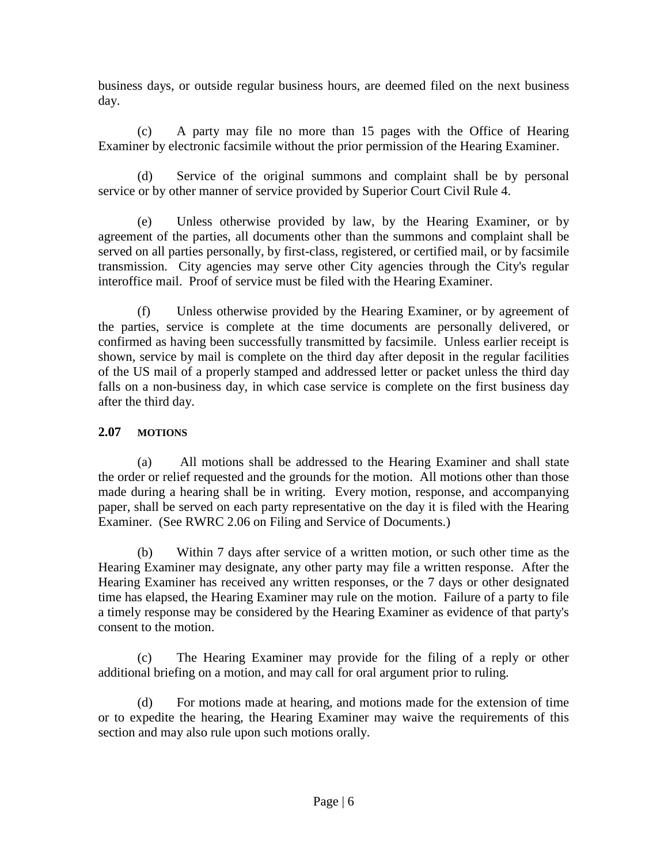business days, or outside regular business hours, are deemed filed on the next business day.

(c) A party may file no more than 15 pages with the Office of Hearing Examiner by electronic facsimile without the prior permission of the Hearing Examiner.

(d) Service of the original summons and complaint shall be by personal service or by other manner of service provided by Superior Court Civil Rule 4.

(e) Unless otherwise provided by law, by the Hearing Examiner, or by agreement of the parties, all documents other than the summons and complaint shall be served on all parties personally, by first-class, registered, or certified mail, or by facsimile transmission. City agencies may serve other City agencies through the City's regular interoffice mail. Proof of service must be filed with the Hearing Examiner.

(f) Unless otherwise provided by the Hearing Examiner, or by agreement of the parties, service is complete at the time documents are personally delivered, or confirmed as having been successfully transmitted by facsimile. Unless earlier receipt is shown, service by mail is complete on the third day after deposit in the regular facilities of the US mail of a properly stamped and addressed letter or packet unless the third day falls on a non-business day, in which case service is complete on the first business day after the third day.

## **2.07 MOTIONS**

(a) All motions shall be addressed to the Hearing Examiner and shall state the order or relief requested and the grounds for the motion. All motions other than those made during a hearing shall be in writing. Every motion, response, and accompanying paper, shall be served on each party representative on the day it is filed with the Hearing Examiner. (See RWRC 2.06 on Filing and Service of Documents.)

(b) Within 7 days after service of a written motion, or such other time as the Hearing Examiner may designate, any other party may file a written response. After the Hearing Examiner has received any written responses, or the 7 days or other designated time has elapsed, the Hearing Examiner may rule on the motion. Failure of a party to file a timely response may be considered by the Hearing Examiner as evidence of that party's consent to the motion.

(c) The Hearing Examiner may provide for the filing of a reply or other additional briefing on a motion, and may call for oral argument prior to ruling.

(d) For motions made at hearing, and motions made for the extension of time or to expedite the hearing, the Hearing Examiner may waive the requirements of this section and may also rule upon such motions orally.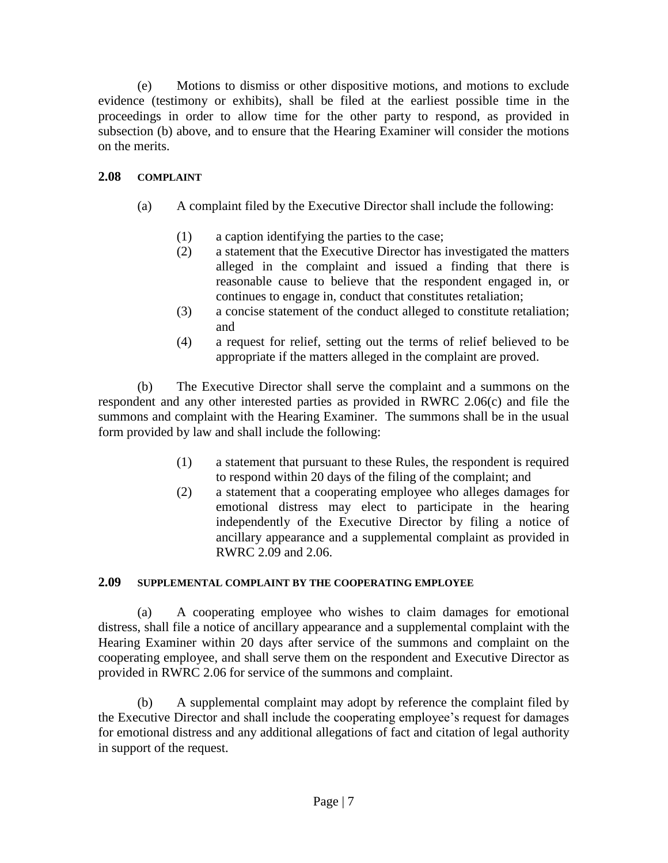(e) Motions to dismiss or other dispositive motions, and motions to exclude evidence (testimony or exhibits), shall be filed at the earliest possible time in the proceedings in order to allow time for the other party to respond, as provided in subsection (b) above, and to ensure that the Hearing Examiner will consider the motions on the merits.

## **2.08 COMPLAINT**

- (a) A complaint filed by the Executive Director shall include the following:
	- (1) a caption identifying the parties to the case;
	- (2) a statement that the Executive Director has investigated the matters alleged in the complaint and issued a finding that there is reasonable cause to believe that the respondent engaged in, or continues to engage in, conduct that constitutes retaliation;
	- (3) a concise statement of the conduct alleged to constitute retaliation; and
	- (4) a request for relief, setting out the terms of relief believed to be appropriate if the matters alleged in the complaint are proved.

(b) The Executive Director shall serve the complaint and a summons on the respondent and any other interested parties as provided in RWRC 2.06(c) and file the summons and complaint with the Hearing Examiner. The summons shall be in the usual form provided by law and shall include the following:

- (1) a statement that pursuant to these Rules, the respondent is required to respond within 20 days of the filing of the complaint; and
- (2) a statement that a cooperating employee who alleges damages for emotional distress may elect to participate in the hearing independently of the Executive Director by filing a notice of ancillary appearance and a supplemental complaint as provided in RWRC 2.09 and 2.06.

## **2.09 SUPPLEMENTAL COMPLAINT BY THE COOPERATING EMPLOYEE**

(a) A cooperating employee who wishes to claim damages for emotional distress, shall file a notice of ancillary appearance and a supplemental complaint with the Hearing Examiner within 20 days after service of the summons and complaint on the cooperating employee, and shall serve them on the respondent and Executive Director as provided in RWRC 2.06 for service of the summons and complaint.

(b) A supplemental complaint may adopt by reference the complaint filed by the Executive Director and shall include the cooperating employee's request for damages for emotional distress and any additional allegations of fact and citation of legal authority in support of the request.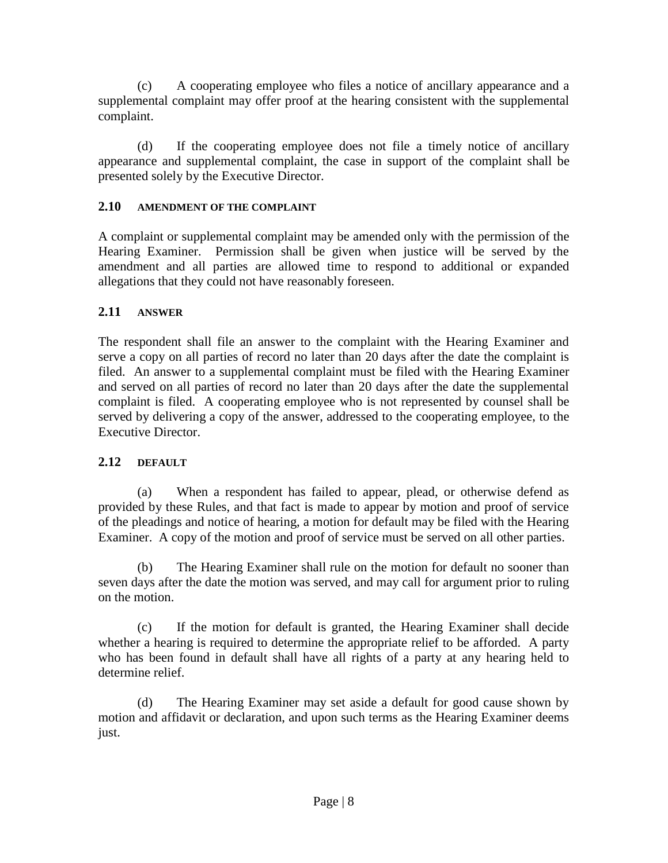(c) A cooperating employee who files a notice of ancillary appearance and a supplemental complaint may offer proof at the hearing consistent with the supplemental complaint.

(d) If the cooperating employee does not file a timely notice of ancillary appearance and supplemental complaint, the case in support of the complaint shall be presented solely by the Executive Director.

## **2.10 AMENDMENT OF THE COMPLAINT**

A complaint or supplemental complaint may be amended only with the permission of the Hearing Examiner. Permission shall be given when justice will be served by the amendment and all parties are allowed time to respond to additional or expanded allegations that they could not have reasonably foreseen.

## **2.11 ANSWER**

The respondent shall file an answer to the complaint with the Hearing Examiner and serve a copy on all parties of record no later than 20 days after the date the complaint is filed. An answer to a supplemental complaint must be filed with the Hearing Examiner and served on all parties of record no later than 20 days after the date the supplemental complaint is filed. A cooperating employee who is not represented by counsel shall be served by delivering a copy of the answer, addressed to the cooperating employee, to the Executive Director.

## **2.12 DEFAULT**

(a) When a respondent has failed to appear, plead, or otherwise defend as provided by these Rules, and that fact is made to appear by motion and proof of service of the pleadings and notice of hearing, a motion for default may be filed with the Hearing Examiner. A copy of the motion and proof of service must be served on all other parties.

(b) The Hearing Examiner shall rule on the motion for default no sooner than seven days after the date the motion was served, and may call for argument prior to ruling on the motion.

(c) If the motion for default is granted, the Hearing Examiner shall decide whether a hearing is required to determine the appropriate relief to be afforded. A party who has been found in default shall have all rights of a party at any hearing held to determine relief.

(d) The Hearing Examiner may set aside a default for good cause shown by motion and affidavit or declaration, and upon such terms as the Hearing Examiner deems just.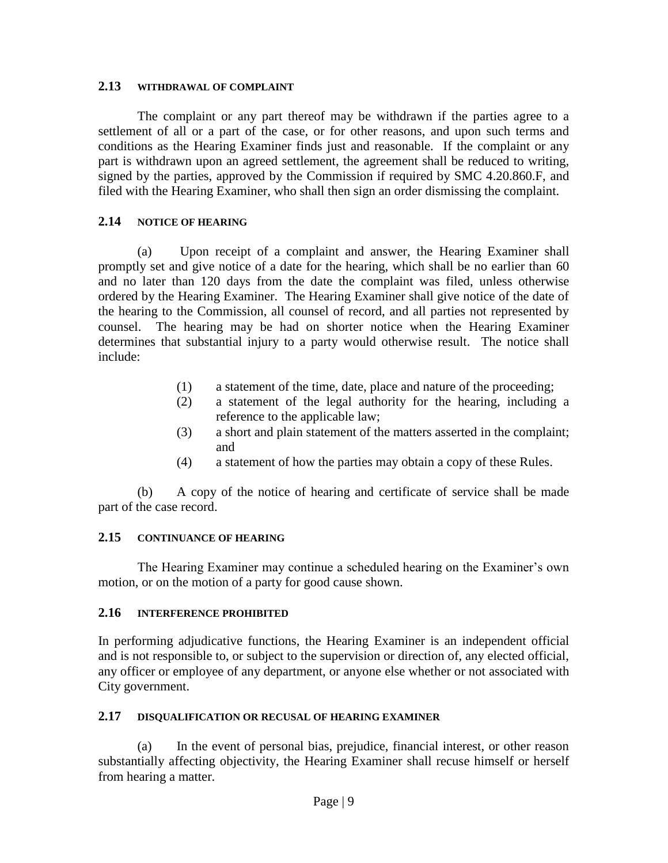#### **2.13 WITHDRAWAL OF COMPLAINT**

The complaint or any part thereof may be withdrawn if the parties agree to a settlement of all or a part of the case, or for other reasons, and upon such terms and conditions as the Hearing Examiner finds just and reasonable. If the complaint or any part is withdrawn upon an agreed settlement, the agreement shall be reduced to writing, signed by the parties, approved by the Commission if required by SMC 4.20.860.F, and filed with the Hearing Examiner, who shall then sign an order dismissing the complaint.

#### **2.14 NOTICE OF HEARING**

(a) Upon receipt of a complaint and answer, the Hearing Examiner shall promptly set and give notice of a date for the hearing, which shall be no earlier than 60 and no later than 120 days from the date the complaint was filed, unless otherwise ordered by the Hearing Examiner. The Hearing Examiner shall give notice of the date of the hearing to the Commission, all counsel of record, and all parties not represented by counsel. The hearing may be had on shorter notice when the Hearing Examiner determines that substantial injury to a party would otherwise result. The notice shall include:

- (1) a statement of the time, date, place and nature of the proceeding;
- (2) a statement of the legal authority for the hearing, including a reference to the applicable law;
- (3) a short and plain statement of the matters asserted in the complaint; and
- (4) a statement of how the parties may obtain a copy of these Rules.

(b) A copy of the notice of hearing and certificate of service shall be made part of the case record.

#### **2.15 CONTINUANCE OF HEARING**

The Hearing Examiner may continue a scheduled hearing on the Examiner's own motion, or on the motion of a party for good cause shown.

#### **2.16 INTERFERENCE PROHIBITED**

In performing adjudicative functions, the Hearing Examiner is an independent official and is not responsible to, or subject to the supervision or direction of, any elected official, any officer or employee of any department, or anyone else whether or not associated with City government.

#### **2.17 DISQUALIFICATION OR RECUSAL OF HEARING EXAMINER**

(a) In the event of personal bias, prejudice, financial interest, or other reason substantially affecting objectivity, the Hearing Examiner shall recuse himself or herself from hearing a matter.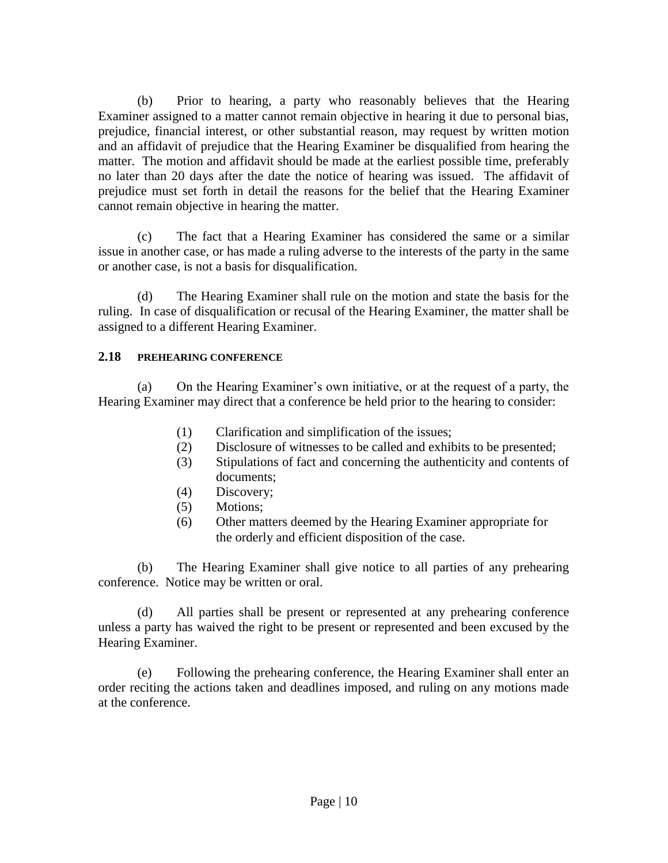(b) Prior to hearing, a party who reasonably believes that the Hearing Examiner assigned to a matter cannot remain objective in hearing it due to personal bias, prejudice, financial interest, or other substantial reason, may request by written motion and an affidavit of prejudice that the Hearing Examiner be disqualified from hearing the matter. The motion and affidavit should be made at the earliest possible time, preferably no later than 20 days after the date the notice of hearing was issued. The affidavit of prejudice must set forth in detail the reasons for the belief that the Hearing Examiner cannot remain objective in hearing the matter.

(c) The fact that a Hearing Examiner has considered the same or a similar issue in another case, or has made a ruling adverse to the interests of the party in the same or another case, is not a basis for disqualification.

(d) The Hearing Examiner shall rule on the motion and state the basis for the ruling. In case of disqualification or recusal of the Hearing Examiner, the matter shall be assigned to a different Hearing Examiner.

## **2.18 PREHEARING CONFERENCE**

(a) On the Hearing Examiner's own initiative, or at the request of a party, the Hearing Examiner may direct that a conference be held prior to the hearing to consider:

- (1) Clarification and simplification of the issues;
- (2) Disclosure of witnesses to be called and exhibits to be presented;
- (3) Stipulations of fact and concerning the authenticity and contents of documents;
- (4) Discovery;
- (5) Motions;
- (6) Other matters deemed by the Hearing Examiner appropriate for the orderly and efficient disposition of the case.

(b) The Hearing Examiner shall give notice to all parties of any prehearing conference. Notice may be written or oral.

(d) All parties shall be present or represented at any prehearing conference unless a party has waived the right to be present or represented and been excused by the Hearing Examiner.

(e) Following the prehearing conference, the Hearing Examiner shall enter an order reciting the actions taken and deadlines imposed, and ruling on any motions made at the conference.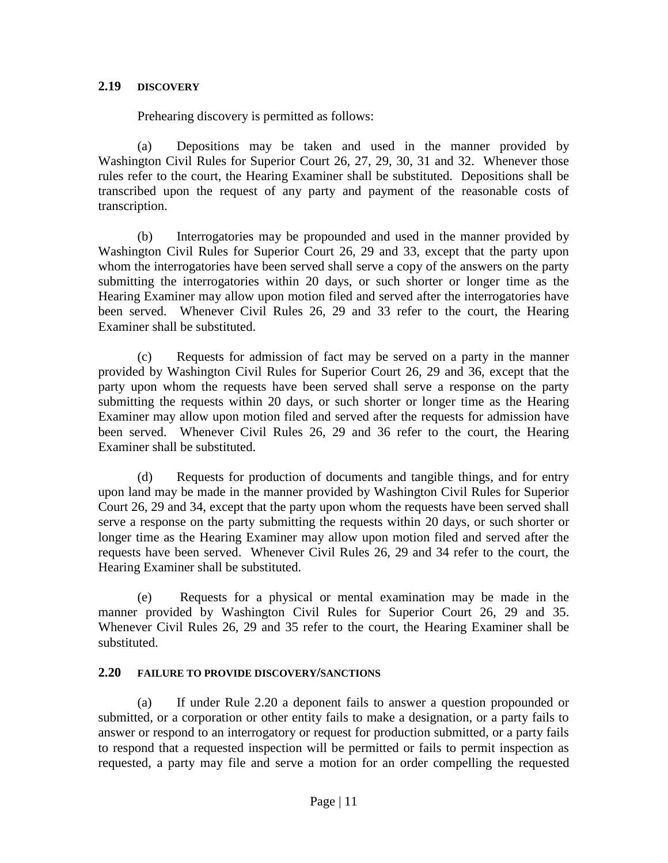#### **2.19 DISCOVERY**

Prehearing discovery is permitted as follows:

(a) Depositions may be taken and used in the manner provided by Washington Civil Rules for Superior Court 26, 27, 29, 30, 31 and 32. Whenever those rules refer to the court, the Hearing Examiner shall be substituted. Depositions shall be transcribed upon the request of any party and payment of the reasonable costs of transcription.

(b) Interrogatories may be propounded and used in the manner provided by Washington Civil Rules for Superior Court 26, 29 and 33, except that the party upon whom the interrogatories have been served shall serve a copy of the answers on the party submitting the interrogatories within 20 days, or such shorter or longer time as the Hearing Examiner may allow upon motion filed and served after the interrogatories have been served. Whenever Civil Rules 26, 29 and 33 refer to the court, the Hearing Examiner shall be substituted.

(c) Requests for admission of fact may be served on a party in the manner provided by Washington Civil Rules for Superior Court 26, 29 and 36, except that the party upon whom the requests have been served shall serve a response on the party submitting the requests within 20 days, or such shorter or longer time as the Hearing Examiner may allow upon motion filed and served after the requests for admission have been served. Whenever Civil Rules 26, 29 and 36 refer to the court, the Hearing Examiner shall be substituted.

(d) Requests for production of documents and tangible things, and for entry upon land may be made in the manner provided by Washington Civil Rules for Superior Court 26, 29 and 34, except that the party upon whom the requests have been served shall serve a response on the party submitting the requests within 20 days, or such shorter or longer time as the Hearing Examiner may allow upon motion filed and served after the requests have been served. Whenever Civil Rules 26, 29 and 34 refer to the court, the Hearing Examiner shall be substituted.

(e) Requests for a physical or mental examination may be made in the manner provided by Washington Civil Rules for Superior Court 26, 29 and 35. Whenever Civil Rules 26, 29 and 35 refer to the court, the Hearing Examiner shall be substituted.

## **2.20 FAILURE TO PROVIDE DISCOVERY/SANCTIONS**

(a) If under Rule 2.20 a deponent fails to answer a question propounded or submitted, or a corporation or other entity fails to make a designation, or a party fails to answer or respond to an interrogatory or request for production submitted, or a party fails to respond that a requested inspection will be permitted or fails to permit inspection as requested, a party may file and serve a motion for an order compelling the requested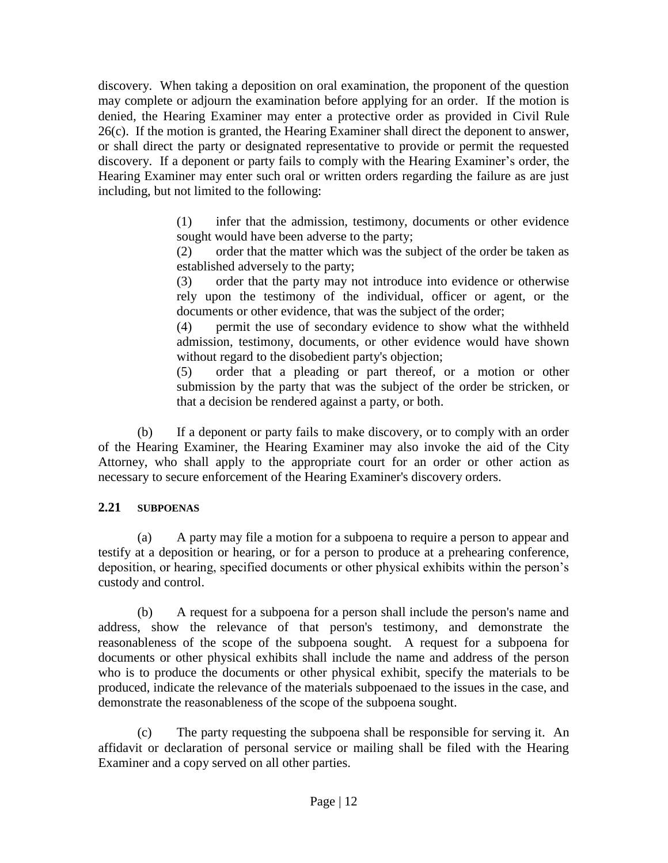discovery. When taking a deposition on oral examination, the proponent of the question may complete or adjourn the examination before applying for an order. If the motion is denied, the Hearing Examiner may enter a protective order as provided in Civil Rule 26(c). If the motion is granted, the Hearing Examiner shall direct the deponent to answer, or shall direct the party or designated representative to provide or permit the requested discovery. If a deponent or party fails to comply with the Hearing Examiner's order, the Hearing Examiner may enter such oral or written orders regarding the failure as are just including, but not limited to the following:

> (1) infer that the admission, testimony, documents or other evidence sought would have been adverse to the party;

> (2) order that the matter which was the subject of the order be taken as established adversely to the party;

> (3) order that the party may not introduce into evidence or otherwise rely upon the testimony of the individual, officer or agent, or the documents or other evidence, that was the subject of the order;

> (4) permit the use of secondary evidence to show what the withheld admission, testimony, documents, or other evidence would have shown without regard to the disobedient party's objection;

> (5) order that a pleading or part thereof, or a motion or other submission by the party that was the subject of the order be stricken, or that a decision be rendered against a party, or both.

(b) If a deponent or party fails to make discovery, or to comply with an order of the Hearing Examiner, the Hearing Examiner may also invoke the aid of the City Attorney, who shall apply to the appropriate court for an order or other action as necessary to secure enforcement of the Hearing Examiner's discovery orders.

## **2.21 SUBPOENAS**

(a) A party may file a motion for a subpoena to require a person to appear and testify at a deposition or hearing, or for a person to produce at a prehearing conference, deposition, or hearing, specified documents or other physical exhibits within the person's custody and control.

(b) A request for a subpoena for a person shall include the person's name and address, show the relevance of that person's testimony, and demonstrate the reasonableness of the scope of the subpoena sought. A request for a subpoena for documents or other physical exhibits shall include the name and address of the person who is to produce the documents or other physical exhibit, specify the materials to be produced, indicate the relevance of the materials subpoenaed to the issues in the case, and demonstrate the reasonableness of the scope of the subpoena sought.

(c) The party requesting the subpoena shall be responsible for serving it. An affidavit or declaration of personal service or mailing shall be filed with the Hearing Examiner and a copy served on all other parties.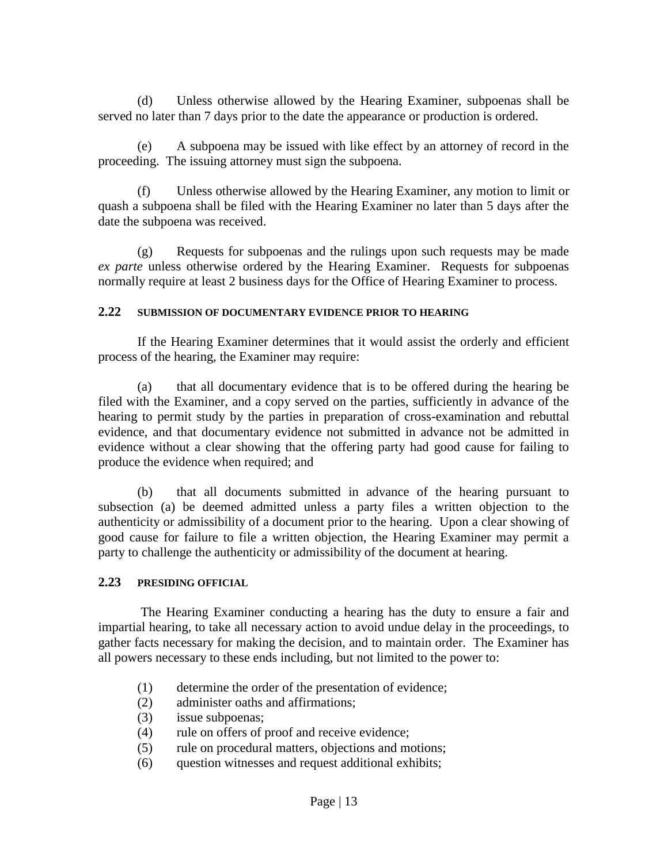(d) Unless otherwise allowed by the Hearing Examiner, subpoenas shall be served no later than 7 days prior to the date the appearance or production is ordered.

(e) A subpoena may be issued with like effect by an attorney of record in the proceeding. The issuing attorney must sign the subpoena.

(f) Unless otherwise allowed by the Hearing Examiner, any motion to limit or quash a subpoena shall be filed with the Hearing Examiner no later than 5 days after the date the subpoena was received.

(g) Requests for subpoenas and the rulings upon such requests may be made *ex parte* unless otherwise ordered by the Hearing Examiner. Requests for subpoenas normally require at least 2 business days for the Office of Hearing Examiner to process.

#### **2.22 SUBMISSION OF DOCUMENTARY EVIDENCE PRIOR TO HEARING**

If the Hearing Examiner determines that it would assist the orderly and efficient process of the hearing, the Examiner may require:

(a) that all documentary evidence that is to be offered during the hearing be filed with the Examiner, and a copy served on the parties, sufficiently in advance of the hearing to permit study by the parties in preparation of cross-examination and rebuttal evidence, and that documentary evidence not submitted in advance not be admitted in evidence without a clear showing that the offering party had good cause for failing to produce the evidence when required; and

(b) that all documents submitted in advance of the hearing pursuant to subsection (a) be deemed admitted unless a party files a written objection to the authenticity or admissibility of a document prior to the hearing. Upon a clear showing of good cause for failure to file a written objection, the Hearing Examiner may permit a party to challenge the authenticity or admissibility of the document at hearing.

#### **2.23 PRESIDING OFFICIAL**

The Hearing Examiner conducting a hearing has the duty to ensure a fair and impartial hearing, to take all necessary action to avoid undue delay in the proceedings, to gather facts necessary for making the decision, and to maintain order. The Examiner has all powers necessary to these ends including, but not limited to the power to:

- (1) determine the order of the presentation of evidence;
- (2) administer oaths and affirmations;
- (3) issue subpoenas;
- (4) rule on offers of proof and receive evidence;
- (5) rule on procedural matters, objections and motions;
- (6) question witnesses and request additional exhibits;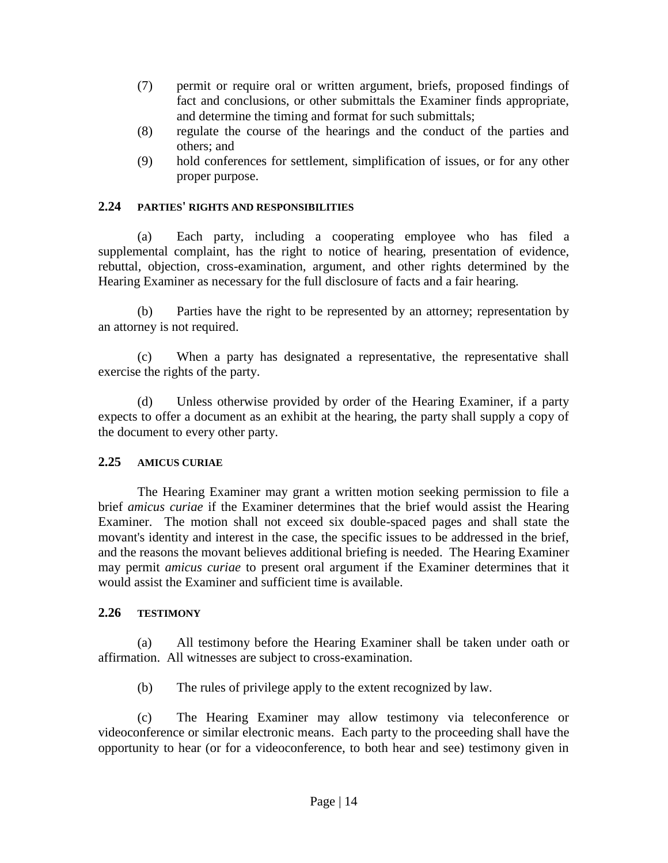- (7) permit or require oral or written argument, briefs, proposed findings of fact and conclusions, or other submittals the Examiner finds appropriate, and determine the timing and format for such submittals;
- (8) regulate the course of the hearings and the conduct of the parties and others; and
- (9) hold conferences for settlement, simplification of issues, or for any other proper purpose.

## **2.24 PARTIES' RIGHTS AND RESPONSIBILITIES**

(a) Each party, including a cooperating employee who has filed a supplemental complaint, has the right to notice of hearing, presentation of evidence, rebuttal, objection, cross-examination, argument, and other rights determined by the Hearing Examiner as necessary for the full disclosure of facts and a fair hearing.

(b) Parties have the right to be represented by an attorney; representation by an attorney is not required.

(c) When a party has designated a representative, the representative shall exercise the rights of the party.

(d) Unless otherwise provided by order of the Hearing Examiner, if a party expects to offer a document as an exhibit at the hearing, the party shall supply a copy of the document to every other party.

## **2.25 AMICUS CURIAE**

The Hearing Examiner may grant a written motion seeking permission to file a brief *amicus curiae* if the Examiner determines that the brief would assist the Hearing Examiner. The motion shall not exceed six double-spaced pages and shall state the movant's identity and interest in the case, the specific issues to be addressed in the brief, and the reasons the movant believes additional briefing is needed. The Hearing Examiner may permit *amicus curiae* to present oral argument if the Examiner determines that it would assist the Examiner and sufficient time is available.

## **2.26 TESTIMONY**

(a) All testimony before the Hearing Examiner shall be taken under oath or affirmation. All witnesses are subject to cross-examination.

(b) The rules of privilege apply to the extent recognized by law.

(c) The Hearing Examiner may allow testimony via teleconference or videoconference or similar electronic means. Each party to the proceeding shall have the opportunity to hear (or for a videoconference, to both hear and see) testimony given in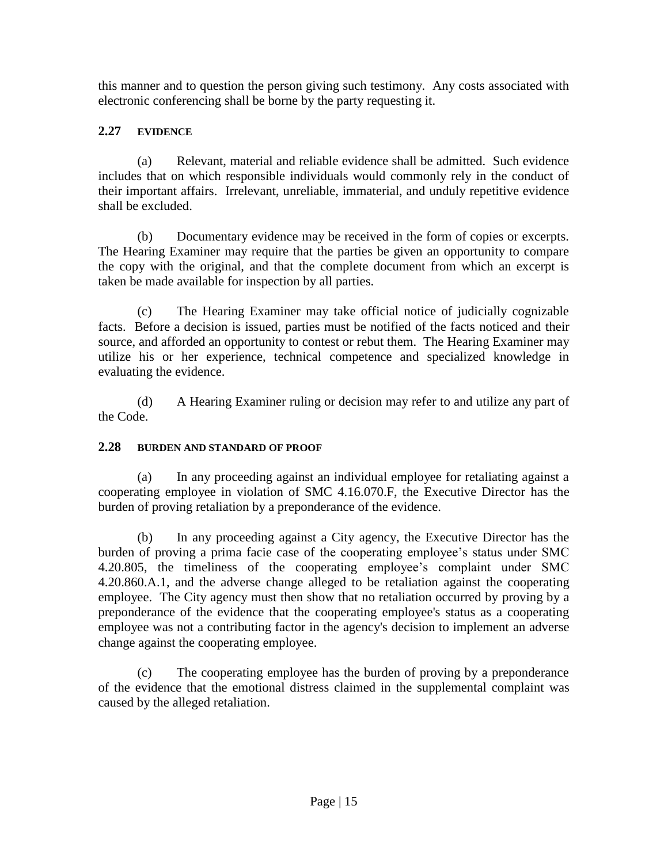this manner and to question the person giving such testimony. Any costs associated with electronic conferencing shall be borne by the party requesting it.

## **2.27 EVIDENCE**

(a) Relevant, material and reliable evidence shall be admitted. Such evidence includes that on which responsible individuals would commonly rely in the conduct of their important affairs. Irrelevant, unreliable, immaterial, and unduly repetitive evidence shall be excluded.

(b) Documentary evidence may be received in the form of copies or excerpts. The Hearing Examiner may require that the parties be given an opportunity to compare the copy with the original, and that the complete document from which an excerpt is taken be made available for inspection by all parties.

(c) The Hearing Examiner may take official notice of judicially cognizable facts. Before a decision is issued, parties must be notified of the facts noticed and their source, and afforded an opportunity to contest or rebut them. The Hearing Examiner may utilize his or her experience, technical competence and specialized knowledge in evaluating the evidence.

(d) A Hearing Examiner ruling or decision may refer to and utilize any part of the Code.

## **2.28 BURDEN AND STANDARD OF PROOF**

(a) In any proceeding against an individual employee for retaliating against a cooperating employee in violation of SMC 4.16.070.F, the Executive Director has the burden of proving retaliation by a preponderance of the evidence.

(b) In any proceeding against a City agency, the Executive Director has the burden of proving a prima facie case of the cooperating employee's status under SMC 4.20.805, the timeliness of the cooperating employee's complaint under SMC 4.20.860.A.1, and the adverse change alleged to be retaliation against the cooperating employee. The City agency must then show that no retaliation occurred by proving by a preponderance of the evidence that the cooperating employee's status as a cooperating employee was not a contributing factor in the agency's decision to implement an adverse change against the cooperating employee.

(c) The cooperating employee has the burden of proving by a preponderance of the evidence that the emotional distress claimed in the supplemental complaint was caused by the alleged retaliation.